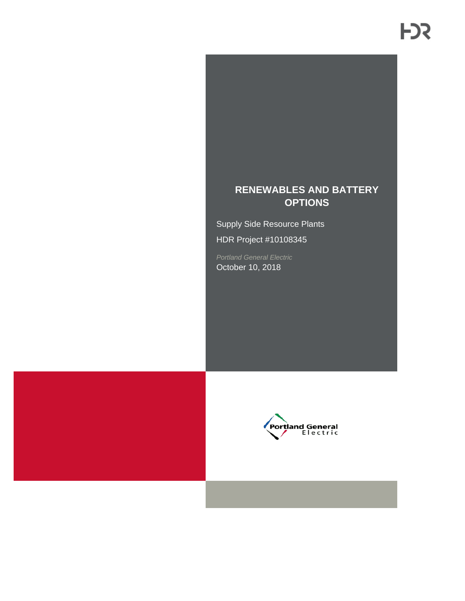## **RENEWABLES AND BATTERY OPTIONS**

Supply Side Resource Plants HDR Project #10108345

*Portland General Electric* October 10, 2018



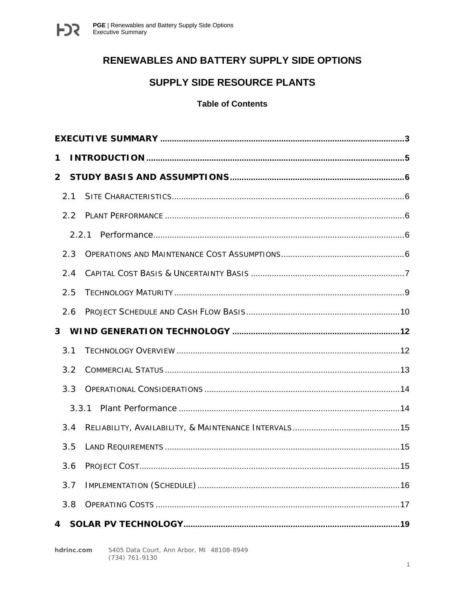

## RENEWABLES AND BATTERY SUPPLY SIDE OPTIONS

## SUPPLY SIDE RESOURCE PLANTS

#### **Table of Contents**

| 1            |       |  |
|--------------|-------|--|
| $\mathbf{2}$ |       |  |
|              | 2.1   |  |
|              | 2.2   |  |
|              | 2.2.1 |  |
|              | 2.3   |  |
|              | 2.4   |  |
|              | 2.5   |  |
|              | 2.6   |  |
|              |       |  |
|              | 3.1   |  |
|              | 3.2   |  |
|              | 3.3   |  |
|              | 3.3.1 |  |
|              | 3.4   |  |
|              | 3.5   |  |
|              | 3.6   |  |
|              | 3.7   |  |
|              | 3.8   |  |
| 4            |       |  |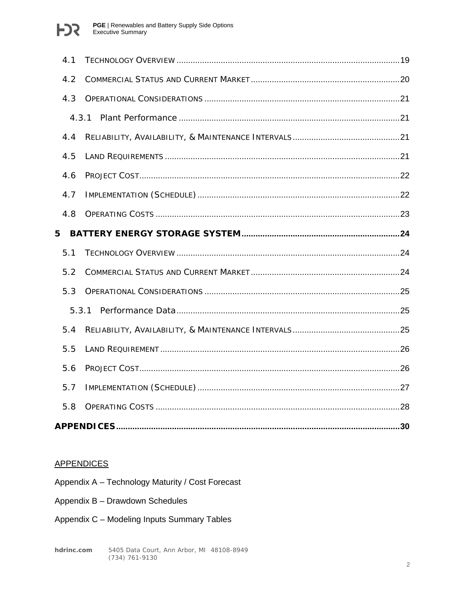

| 4.1 |       |     |
|-----|-------|-----|
| 4.2 |       |     |
| 4.3 |       |     |
|     | 4.3.1 |     |
| 4.4 |       |     |
| 4.5 |       |     |
| 4.6 |       |     |
| 4.7 |       |     |
| 4.8 |       |     |
| 5   |       |     |
| 5.1 |       |     |
| 5.2 |       |     |
| 5.3 |       |     |
|     | 5.3.1 |     |
| 5.4 |       |     |
| 5.5 |       |     |
| 5.6 |       |     |
| 5.7 |       |     |
| 5.8 |       |     |
|     |       | .30 |

#### **APPENDICES**

- Appendix A Technology Maturity / Cost Forecast
- Appendix B Drawdown Schedules
- Appendix C Modeling Inputs Summary Tables

5405 Data Court, Ann Arbor, MI 48108-8949 hdrinc.com (734) 761-9130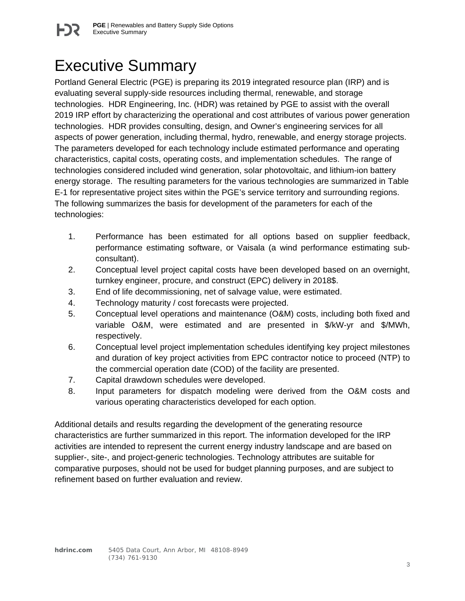# <span id="page-3-0"></span>Executive Summary

Portland General Electric (PGE) is preparing its 2019 integrated resource plan (IRP) and is evaluating several supply-side resources including thermal, renewable, and storage technologies. HDR Engineering, Inc. (HDR) was retained by PGE to assist with the overall 2019 IRP effort by characterizing the operational and cost attributes of various power generation technologies. HDR provides consulting, design, and Owner's engineering services for all aspects of power generation, including thermal, hydro, renewable, and energy storage projects. The parameters developed for each technology include estimated performance and operating characteristics, capital costs, operating costs, and implementation schedules. The range of technologies considered included wind generation, solar photovoltaic, and lithium-ion battery energy storage. The resulting parameters for the various technologies are summarized in Table E-1 for representative project sites within the PGE's service territory and surrounding regions. The following summarizes the basis for development of the parameters for each of the technologies:

- 1. Performance has been estimated for all options based on supplier feedback, performance estimating software, or Vaisala (a wind performance estimating subconsultant).
- 2. Conceptual level project capital costs have been developed based on an overnight, turnkey engineer, procure, and construct (EPC) delivery in 2018\$.
- 3. End of life decommissioning, net of salvage value, were estimated.
- 4. Technology maturity / cost forecasts were projected.
- 5. Conceptual level operations and maintenance (O&M) costs, including both fixed and variable O&M, were estimated and are presented in \$/kW-yr and \$/MWh, respectively.
- 6. Conceptual level project implementation schedules identifying key project milestones and duration of key project activities from EPC contractor notice to proceed (NTP) to the commercial operation date (COD) of the facility are presented.
- 7. Capital drawdown schedules were developed.
- 8. Input parameters for dispatch modeling were derived from the O&M costs and various operating characteristics developed for each option.

Additional details and results regarding the development of the generating resource characteristics are further summarized in this report. The information developed for the IRP activities are intended to represent the current energy industry landscape and are based on supplier-, site-, and project-generic technologies. Technology attributes are suitable for comparative purposes, should not be used for budget planning purposes, and are subject to refinement based on further evaluation and review.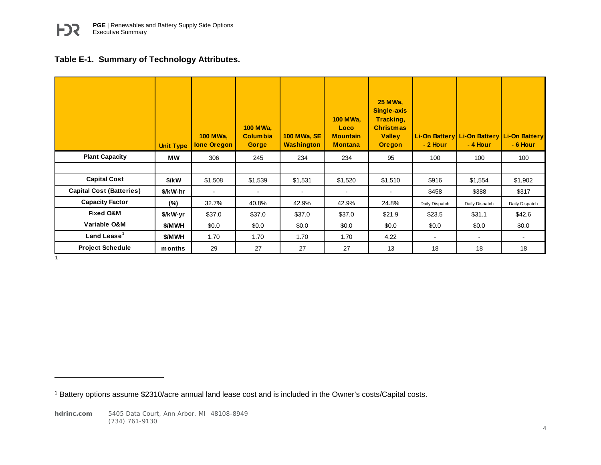## <span id="page-4-0"></span>**Table E-1. Summary of Technology Attributes.**

|                                 | <b>Unit Type</b> | <b>100 MWa,</b><br><b>lone Oregon</b> | <b>100 MWa.</b><br><b>Columbia</b><br>Gorge | <b>100 MWa, SE</b><br><b>Washington</b> | <b>100 MWa.</b><br>Loco<br><b>Mountain</b><br><b>Montana</b> | <b>25 MWa,</b><br><b>Single-axis</b><br>Tracking,<br><b>Christmas</b><br><b>Valley</b><br><b>Oregon</b> | $-2$ Hour      | Li-On Battery   Li-On Battery   Li-On Battery<br>- 4 Hour | - 6 Hour                 |
|---------------------------------|------------------|---------------------------------------|---------------------------------------------|-----------------------------------------|--------------------------------------------------------------|---------------------------------------------------------------------------------------------------------|----------------|-----------------------------------------------------------|--------------------------|
| <b>Plant Capacity</b>           | МW               | 306                                   | 245                                         | 234                                     | 234                                                          | 95                                                                                                      | 100            | 100                                                       | 100                      |
|                                 |                  |                                       |                                             |                                         |                                                              |                                                                                                         |                |                                                           |                          |
| <b>Capital Cost</b>             | \$/kW            | \$1,508                               | \$1,539                                     | \$1,531                                 | \$1,520                                                      | \$1,510                                                                                                 | \$916          | \$1,554                                                   | \$1,902                  |
| <b>Capital Cost (Batteries)</b> | \$/kW-hr         | $\blacksquare$                        | ۰                                           |                                         |                                                              |                                                                                                         | \$458          | \$388                                                     | \$317                    |
| <b>Capacity Factor</b>          | $(\%)$           | 32.7%                                 | 40.8%                                       | 42.9%                                   | 42.9%                                                        | 24.8%                                                                                                   | Daily Dispatch | Daily Dispatch                                            | Daily Dispatch           |
| <b>Fixed O&amp;M</b>            | \$/kW-yr         | \$37.0                                | \$37.0                                      | \$37.0                                  | \$37.0                                                       | \$21.9                                                                                                  | \$23.5         | \$31.1                                                    | \$42.6                   |
| Variable O&M                    | \$/MWH           | \$0.0                                 | \$0.0                                       | \$0.0                                   | \$0.0                                                        | \$0.0                                                                                                   | \$0.0          | \$0.0                                                     | \$0.0                    |
| Land Lease <sup>1</sup>         | \$/MWH           | 1.70                                  | 1.70                                        | 1.70                                    | 1.70                                                         | 4.22                                                                                                    | $\blacksquare$ | $\blacksquare$                                            | $\overline{\phantom{a}}$ |
| <b>Project Schedule</b>         | months           | 29                                    | 27                                          | 27                                      | 27                                                           | 13                                                                                                      | 18             | 18                                                        | 18                       |
|                                 |                  |                                       |                                             |                                         |                                                              |                                                                                                         |                |                                                           |                          |

<sup>1</sup> Battery options assume \$2310/acre annual land lease cost and is included in the Owner's costs/Capital costs.

 $\overline{a}$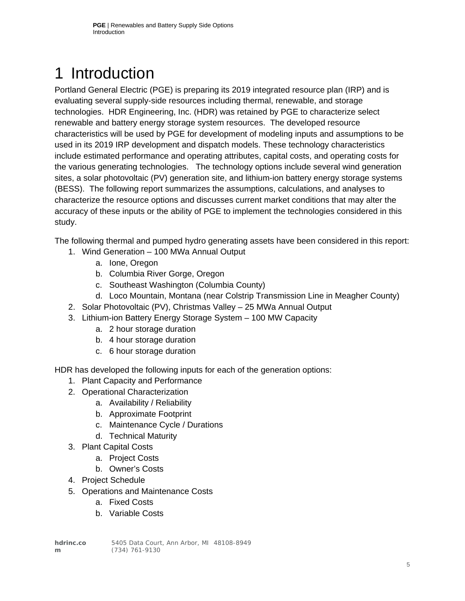# <span id="page-5-0"></span>1 Introduction

Portland General Electric (PGE) is preparing its 2019 integrated resource plan (IRP) and is evaluating several supply-side resources including thermal, renewable, and storage technologies. HDR Engineering, Inc. (HDR) was retained by PGE to characterize select renewable and battery energy storage system resources. The developed resource characteristics will be used by PGE for development of modeling inputs and assumptions to be used in its 2019 IRP development and dispatch models. These technology characteristics include estimated performance and operating attributes, capital costs, and operating costs for the various generating technologies. The technology options include several wind generation sites, a solar photovoltaic (PV) generation site, and lithium-ion battery energy storage systems (BESS). The following report summarizes the assumptions, calculations, and analyses to characterize the resource options and discusses current market conditions that may alter the accuracy of these inputs or the ability of PGE to implement the technologies considered in this study.

The following thermal and pumped hydro generating assets have been considered in this report:

- 1. Wind Generation 100 MWa Annual Output
	- a. Ione, Oregon
	- b. Columbia River Gorge, Oregon
	- c. Southeast Washington (Columbia County)
	- d. Loco Mountain, Montana (near Colstrip Transmission Line in Meagher County)
- 2. Solar Photovoltaic (PV), Christmas Valley 25 MWa Annual Output
- 3. Lithium-ion Battery Energy Storage System 100 MW Capacity
	- a. 2 hour storage duration
	- b. 4 hour storage duration
	- c. 6 hour storage duration

HDR has developed the following inputs for each of the generation options:

- 1. Plant Capacity and Performance
- 2. Operational Characterization
	- a. Availability / Reliability
	- b. Approximate Footprint
	- c. Maintenance Cycle / Durations
	- d. Technical Maturity
- 3. Plant Capital Costs
	- a. Project Costs
	- b. Owner's Costs
- 4. Project Schedule
- 5. Operations and Maintenance Costs
	- a. Fixed Costs
	- b. Variable Costs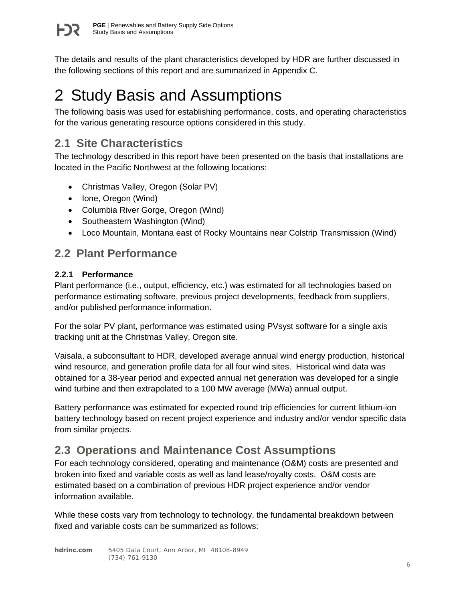

The details and results of the plant characteristics developed by HDR are further discussed in the following sections of this report and are summarized in Appendix C.

# <span id="page-6-0"></span>2 Study Basis and Assumptions

The following basis was used for establishing performance, costs, and operating characteristics for the various generating resource options considered in this study.

# <span id="page-6-1"></span>**2.1 Site Characteristics**

The technology described in this report have been presented on the basis that installations are located in the Pacific Northwest at the following locations:

- Christmas Valley, Oregon (Solar PV)
- Ione, Oregon (Wind)
- Columbia River Gorge, Oregon (Wind)
- Southeastern Washington (Wind)
- Loco Mountain, Montana east of Rocky Mountains near Colstrip Transmission (Wind)

## <span id="page-6-2"></span>**2.2 Plant Performance**

## <span id="page-6-3"></span>**2.2.1 Performance**

Plant performance (i.e., output, efficiency, etc.) was estimated for all technologies based on performance estimating software, previous project developments, feedback from suppliers, and/or published performance information.

For the solar PV plant, performance was estimated using PVsyst software for a single axis tracking unit at the Christmas Valley, Oregon site.

Vaisala, a subconsultant to HDR, developed average annual wind energy production, historical wind resource, and generation profile data for all four wind sites. Historical wind data was obtained for a 38-year period and expected annual net generation was developed for a single wind turbine and then extrapolated to a 100 MW average (MWa) annual output.

Battery performance was estimated for expected round trip efficiencies for current lithium-ion battery technology based on recent project experience and industry and/or vendor specific data from similar projects.

# <span id="page-6-4"></span>**2.3 Operations and Maintenance Cost Assumptions**

For each technology considered, operating and maintenance (O&M) costs are presented and broken into fixed and variable costs as well as land lease/royalty costs. O&M costs are estimated based on a combination of previous HDR project experience and/or vendor information available.

While these costs vary from technology to technology, the fundamental breakdown between fixed and variable costs can be summarized as follows: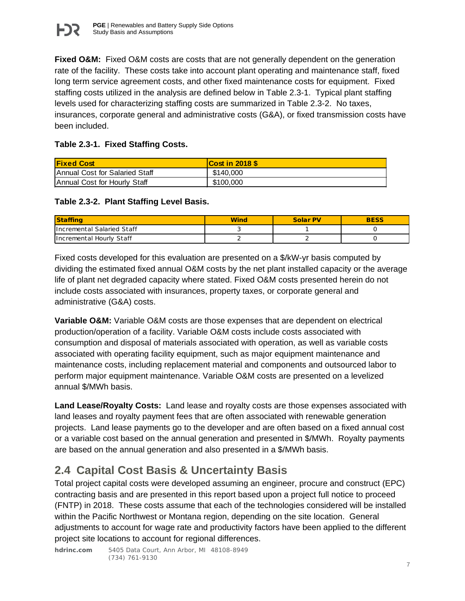

**Fixed O&M:** Fixed O&M costs are costs that are not generally dependent on the generation rate of the facility. These costs take into account plant operating and maintenance staff, fixed long term service agreement costs, and other fixed maintenance costs for equipment. Fixed staffing costs utilized in the analysis are defined below in Table 2.3-1. Typical plant staffing levels used for characterizing staffing costs are summarized in Table 2.3-2. No taxes, insurances, corporate general and administrative costs (G&A), or fixed transmission costs have been included.

#### **Table 2.3-1. Fixed Staffing Costs.**

| <b>Fixed Cost</b>              | <b>Cost in 2018 \$</b> |
|--------------------------------|------------------------|
| Annual Cost for Salaried Staff | \$140,000              |
| Annual Cost for Hourly Staff   | \$100,000              |

#### **Table 2.3-2. Plant Staffing Level Basis.**

| <b>Staffing</b>                   | <b>Wino</b> | <b>Solar PV</b> | <b>BESS</b> |
|-----------------------------------|-------------|-----------------|-------------|
| <b>Incremental Salaried Staff</b> |             |                 |             |
| Incremental Hourly Staff          |             |                 |             |

Fixed costs developed for this evaluation are presented on a \$/kW-yr basis computed by dividing the estimated fixed annual O&M costs by the net plant installed capacity or the average life of plant net degraded capacity where stated. Fixed O&M costs presented herein do not include costs associated with insurances, property taxes, or corporate general and administrative (G&A) costs.

**Variable O&M:** Variable O&M costs are those expenses that are dependent on electrical production/operation of a facility. Variable O&M costs include costs associated with consumption and disposal of materials associated with operation, as well as variable costs associated with operating facility equipment, such as major equipment maintenance and maintenance costs, including replacement material and components and outsourced labor to perform major equipment maintenance. Variable O&M costs are presented on a levelized annual \$/MWh basis.

**Land Lease/Royalty Costs:** Land lease and royalty costs are those expenses associated with land leases and royalty payment fees that are often associated with renewable generation projects. Land lease payments go to the developer and are often based on a fixed annual cost or a variable cost based on the annual generation and presented in \$/MWh. Royalty payments are based on the annual generation and also presented in a \$/MWh basis.

# <span id="page-7-0"></span>**2.4 Capital Cost Basis & Uncertainty Basis**

Total project capital costs were developed assuming an engineer, procure and construct (EPC) contracting basis and are presented in this report based upon a project full notice to proceed (FNTP) in 2018. These costs assume that each of the technologies considered will be installed within the Pacific Northwest or Montana region, depending on the site location. General adjustments to account for wage rate and productivity factors have been applied to the different project site locations to account for regional differences.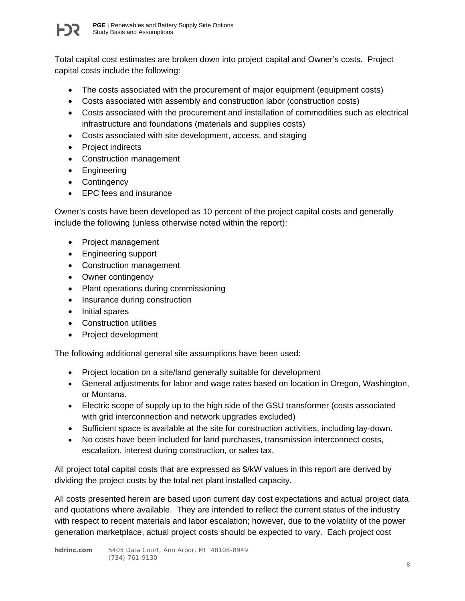

Total capital cost estimates are broken down into project capital and Owner's costs. Project capital costs include the following:

- The costs associated with the procurement of major equipment (equipment costs)
- Costs associated with assembly and construction labor (construction costs)
- Costs associated with the procurement and installation of commodities such as electrical infrastructure and foundations (materials and supplies costs)
- Costs associated with site development, access, and staging
- Project indirects
- Construction management
- Engineering
- Contingency
- EPC fees and insurance

Owner's costs have been developed as 10 percent of the project capital costs and generally include the following (unless otherwise noted within the report):

- Project management
- Engineering support
- Construction management
- Owner contingency
- Plant operations during commissioning
- Insurance during construction
- Initial spares
- Construction utilities
- Project development

The following additional general site assumptions have been used:

- Project location on a site/land generally suitable for development
- General adjustments for labor and wage rates based on location in Oregon, Washington, or Montana.
- Electric scope of supply up to the high side of the GSU transformer (costs associated with grid interconnection and network upgrades excluded)
- Sufficient space is available at the site for construction activities, including lay-down.
- No costs have been included for land purchases, transmission interconnect costs, escalation, interest during construction, or sales tax.

All project total capital costs that are expressed as \$/kW values in this report are derived by dividing the project costs by the total net plant installed capacity.

All costs presented herein are based upon current day cost expectations and actual project data and quotations where available. They are intended to reflect the current status of the industry with respect to recent materials and labor escalation; however, due to the volatility of the power generation marketplace, actual project costs should be expected to vary. Each project cost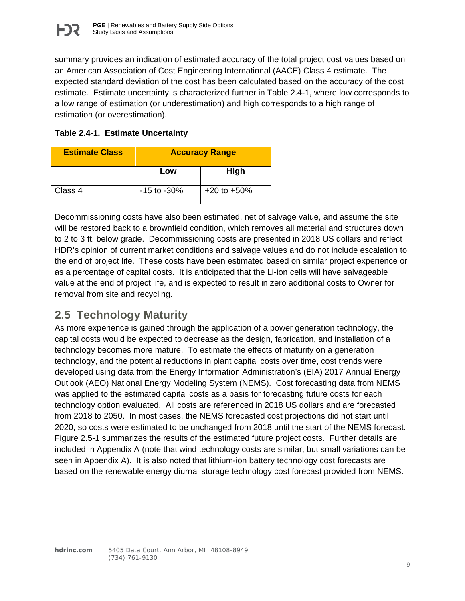summary provides an indication of estimated accuracy of the total project cost values based on an American Association of Cost Engineering International (AACE) Class 4 estimate. The expected standard deviation of the cost has been calculated based on the accuracy of the cost estimate. Estimate uncertainty is characterized further in Table 2.4-1, where low corresponds to a low range of estimation (or underestimation) and high corresponds to a high range of estimation (or overestimation).

### **Table 2.4-1. Estimate Uncertainty**

| <b>Estimate Class</b> | <b>Accuracy Range</b> |                  |
|-----------------------|-----------------------|------------------|
|                       | Low                   | High             |
| Class 4               | $-15$ to $-30\%$      | $+20$ to $+50\%$ |

Decommissioning costs have also been estimated, net of salvage value, and assume the site will be restored back to a brownfield condition, which removes all material and structures down to 2 to 3 ft. below grade. Decommissioning costs are presented in 2018 US dollars and reflect HDR's opinion of current market conditions and salvage values and do not include escalation to the end of project life. These costs have been estimated based on similar project experience or as a percentage of capital costs. It is anticipated that the Li-ion cells will have salvageable value at the end of project life, and is expected to result in zero additional costs to Owner for removal from site and recycling.

# <span id="page-9-0"></span>**2.5 Technology Maturity**

As more experience is gained through the application of a power generation technology, the capital costs would be expected to decrease as the design, fabrication, and installation of a technology becomes more mature. To estimate the effects of maturity on a generation technology, and the potential reductions in plant capital costs over time, cost trends were developed using data from the Energy Information Administration's (EIA) 2017 Annual Energy Outlook (AEO) National Energy Modeling System (NEMS). Cost forecasting data from NEMS was applied to the estimated capital costs as a basis for forecasting future costs for each technology option evaluated. All costs are referenced in 2018 US dollars and are forecasted from 2018 to 2050. In most cases, the NEMS forecasted cost projections did not start until 2020, so costs were estimated to be unchanged from 2018 until the start of the NEMS forecast. Figure 2.5-1 summarizes the results of the estimated future project costs. Further details are included in Appendix A (note that wind technology costs are similar, but small variations can be seen in Appendix A). It is also noted that lithium-ion battery technology cost forecasts are based on the renewable energy diurnal storage technology cost forecast provided from NEMS.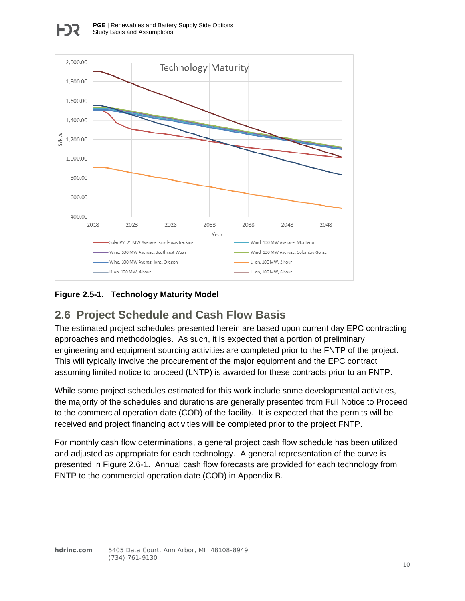

## **Figure 2.5-1. Technology Maturity Model**

## <span id="page-10-0"></span>**2.6 Project Schedule and Cash Flow Basis**

The estimated project schedules presented herein are based upon current day EPC contracting approaches and methodologies. As such, it is expected that a portion of preliminary engineering and equipment sourcing activities are completed prior to the FNTP of the project. This will typically involve the procurement of the major equipment and the EPC contract assuming limited notice to proceed (LNTP) is awarded for these contracts prior to an FNTP.

While some project schedules estimated for this work include some developmental activities, the majority of the schedules and durations are generally presented from Full Notice to Proceed to the commercial operation date (COD) of the facility. It is expected that the permits will be received and project financing activities will be completed prior to the project FNTP.

For monthly cash flow determinations, a general project cash flow schedule has been utilized and adjusted as appropriate for each technology. A general representation of the curve is presented in Figure 2.6-1. Annual cash flow forecasts are provided for each technology from FNTP to the commercial operation date (COD) in Appendix B.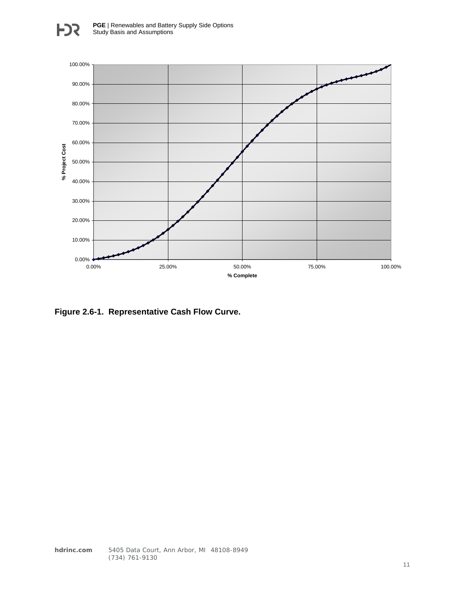

**Figure 2.6-1. Representative Cash Flow Curve.**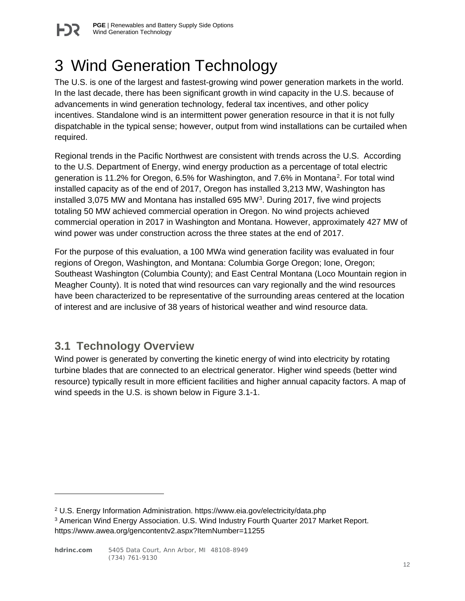

# <span id="page-12-0"></span>3 Wind Generation Technology

The U.S. is one of the largest and fastest-growing wind power generation markets in the world. In the last decade, there has been significant growth in wind capacity in the U.S. because of advancements in wind generation technology, federal tax incentives, and other policy incentives. Standalone wind is an intermittent power generation resource in that it is not fully dispatchable in the typical sense; however, output from wind installations can be curtailed when required.

Regional trends in the Pacific Northwest are consistent with trends across the U.S. According to the U.S. Department of Energy, wind energy production as a percentage of total electric generation is 11.2% for Oregon, 6.5% for Washington, and 7.6% in Montana[2](#page-12-2). For total wind installed capacity as of the end of 2017, Oregon has installed 3,213 MW, Washington has installed [3](#page-12-3),075 MW and Montana has installed 695 MW<sup>3</sup>. During 2017, five wind projects totaling 50 MW achieved commercial operation in Oregon. No wind projects achieved commercial operation in 2017 in Washington and Montana. However, approximately 427 MW of wind power was under construction across the three states at the end of 2017.

For the purpose of this evaluation, a 100 MWa wind generation facility was evaluated in four regions of Oregon, Washington, and Montana: Columbia Gorge Oregon; Ione, Oregon; Southeast Washington (Columbia County); and East Central Montana (Loco Mountain region in Meagher County). It is noted that wind resources can vary regionally and the wind resources have been characterized to be representative of the surrounding areas centered at the location of interest and are inclusive of 38 years of historical weather and wind resource data.

## <span id="page-12-1"></span>**3.1 Technology Overview**

 $\overline{a}$ 

Wind power is generated by converting the kinetic energy of wind into electricity by rotating turbine blades that are connected to an electrical generator. Higher wind speeds (better wind resource) typically result in more efficient facilities and higher annual capacity factors. A map of wind speeds in the U.S. is shown below in Figure 3.1-1.

<span id="page-12-2"></span><sup>2</sup> U.S. Energy Information Administration. https://www.eia.gov/electricity/data.php

<span id="page-12-3"></span><sup>3</sup> American Wind Energy Association. U.S. Wind Industry Fourth Quarter 2017 Market Report. https://www.awea.org/gencontentv2.aspx?ItemNumber=11255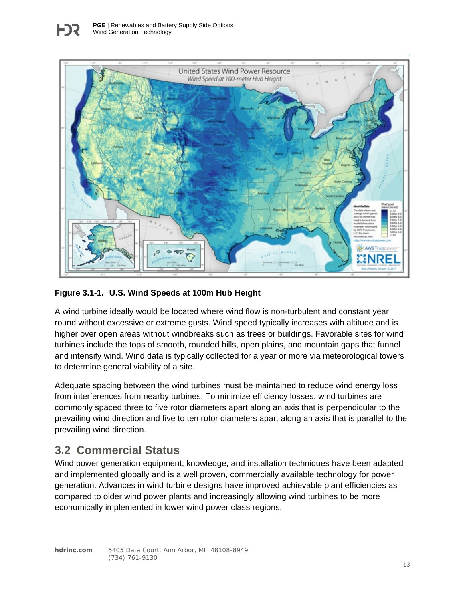

#### **Figure 3.1-1. U.S. Wind Speeds at 100m Hub Height**

A wind turbine ideally would be located where wind flow is non-turbulent and constant year round without excessive or extreme gusts. Wind speed typically increases with altitude and is higher over open areas without windbreaks such as trees or buildings. Favorable sites for wind turbines include the tops of smooth, rounded hills, open plains, and mountain gaps that funnel and intensify wind. Wind data is typically collected for a year or more via meteorological towers to determine general viability of a site.

Adequate spacing between the wind turbines must be maintained to reduce wind energy loss from interferences from nearby turbines. To minimize efficiency losses, wind turbines are commonly spaced three to five rotor diameters apart along an axis that is perpendicular to the prevailing wind direction and five to ten rotor diameters apart along an axis that is parallel to the prevailing wind direction.

## <span id="page-13-0"></span>**3.2 Commercial Status**

Wind power generation equipment, knowledge, and installation techniques have been adapted and implemented globally and is a well proven, commercially available technology for power generation. Advances in wind turbine designs have improved achievable plant efficiencies as compared to older wind power plants and increasingly allowing wind turbines to be more economically implemented in lower wind power class regions.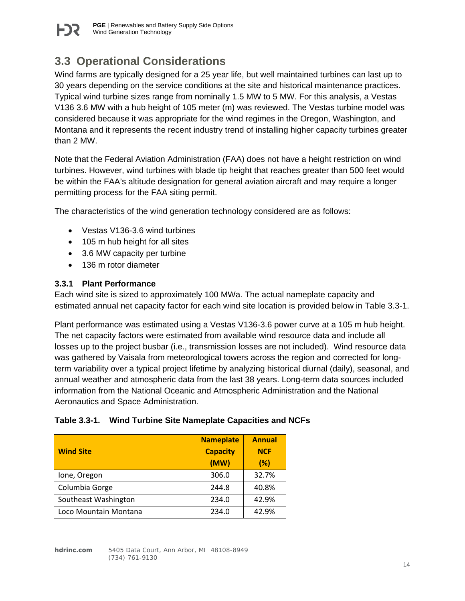

## <span id="page-14-0"></span>**3.3 Operational Considerations**

Wind farms are typically designed for a 25 year life, but well maintained turbines can last up to 30 years depending on the service conditions at the site and historical maintenance practices. Typical wind turbine sizes range from nominally 1.5 MW to 5 MW. For this analysis, a Vestas V136 3.6 MW with a hub height of 105 meter (m) was reviewed. The Vestas turbine model was considered because it was appropriate for the wind regimes in the Oregon, Washington, and Montana and it represents the recent industry trend of installing higher capacity turbines greater than 2 MW.

Note that the Federal Aviation Administration (FAA) does not have a height restriction on wind turbines. However, wind turbines with blade tip height that reaches greater than 500 feet would be within the FAA's altitude designation for general aviation aircraft and may require a longer permitting process for the FAA siting permit.

The characteristics of the wind generation technology considered are as follows:

- Vestas V136-3.6 wind turbines
- 105 m hub height for all sites
- 3.6 MW capacity per turbine
- 136 m rotor diameter

#### <span id="page-14-1"></span>**3.3.1 Plant Performance**

Each wind site is sized to approximately 100 MWa. The actual nameplate capacity and estimated annual net capacity factor for each wind site location is provided below in Table 3.3-1.

Plant performance was estimated using a Vestas V136-3.6 power curve at a 105 m hub height. The net capacity factors were estimated from available wind resource data and include all losses up to the project busbar (i.e., transmission losses are not included). Wind resource data was gathered by Vaisala from meteorological towers across the region and corrected for longterm variability over a typical project lifetime by analyzing historical diurnal (daily), seasonal, and annual weather and atmospheric data from the last 38 years. Long-term data sources included information from the National Oceanic and Atmospheric Administration and the National Aeronautics and Space Administration.

#### **Table 3.3-1. Wind Turbine Site Nameplate Capacities and NCFs**

| <b>Wind Site</b>      | <b>Nameplate</b><br><b>Capacity</b><br>(MW) | <b>Annual</b><br><b>NCF</b><br>$(\%)$ |
|-----------------------|---------------------------------------------|---------------------------------------|
| Ione, Oregon          | 306.0                                       | 32.7%                                 |
| Columbia Gorge        | 244.8                                       | 40.8%                                 |
| Southeast Washington  | 234.0                                       | 42.9%                                 |
| Loco Mountain Montana | 234.0                                       | 42.9%                                 |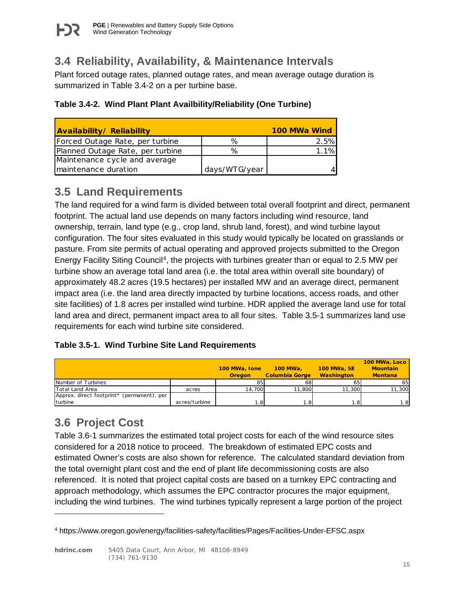# <span id="page-15-0"></span>**3.4 Reliability, Availability, & Maintenance Intervals**

Plant forced outage rates, planned outage rates, and mean average outage duration is summarized in Table 3.4-2 on a per turbine base.

| <b>Availability/Reliability</b>  |               | 100 MWa Wind |
|----------------------------------|---------------|--------------|
| Forced Outage Rate, per turbine  | ℅             | 2.5%         |
| Planned Outage Rate, per turbine | ℅             | 1.1%         |
| Maintenance cycle and average    |               |              |
| maintenance duration             | days/WTG/year |              |

# <span id="page-15-1"></span>**3.5 Land Requirements**

The land required for a wind farm is divided between total overall footprint and direct, permanent footprint. The actual land use depends on many factors including wind resource, land ownership, terrain, land type (e.g., crop land, shrub land, forest), and wind turbine layout configuration. The four sites evaluated in this study would typically be located on grasslands or pasture. From site permits of actual operating and approved projects submitted to the Oregon Energy Facility Siting Council[4,](#page-15-3) the projects with turbines greater than or equal to 2.5 MW per turbine show an average total land area (i.e. the total area within overall site boundary) of approximately 48.2 acres (19.5 hectares) per installed MW and an average direct, permanent impact area (i.e. the land area directly impacted by turbine locations, access roads, and other site facilities) of 1.8 acres per installed wind turbine. HDR applied the average land use for total land area and direct, permanent impact area to all four sites. Table 3.5-1 summarizes land use requirements for each wind turbine site considered.

## **Table 3.5-1. Wind Turbine Site Land Requirements**

|                                            |               |               |                       |                    | 100 MWa, Loco   |
|--------------------------------------------|---------------|---------------|-----------------------|--------------------|-----------------|
|                                            |               | 100 MWa, Ione | <b>100 MWa.</b>       | <b>100 MWa, SE</b> | <b>Mountain</b> |
|                                            |               | <b>Oregon</b> | <b>Columbia Gorge</b> | <b>Washington</b>  | <b>Montana</b>  |
| Number of Turbines                         |               | 85            | 68I                   | 65                 | 65              |
| Total Land Area                            | acres         | 14.700        | 11,800                | 11.300             | 11,300          |
| Approx. direct footprint* (permanent), per |               |               |                       |                    |                 |
| turbine                                    | acres/turbine | ا8.،          | ا8.                   | l.8                | $\overline{8}$  |

# <span id="page-15-2"></span>**3.6 Project Cost**

 $\overline{a}$ 

Table 3.6-1 summarizes the estimated total project costs for each of the wind resource sites considered for a 2018 notice to proceed. The breakdown of estimated EPC costs and estimated Owner's costs are also shown for reference. The calculated standard deviation from the total overnight plant cost and the end of plant life decommissioning costs are also referenced. It is noted that project capital costs are based on a turnkey EPC contracting and approach methodology, which assumes the EPC contractor procures the major equipment, including the wind turbines. The wind turbines typically represent a large portion of the project

<span id="page-15-3"></span><sup>4</sup> https://www.oregon.gov/energy/facilities-safety/facilities/Pages/Facilities-Under-EFSC.aspx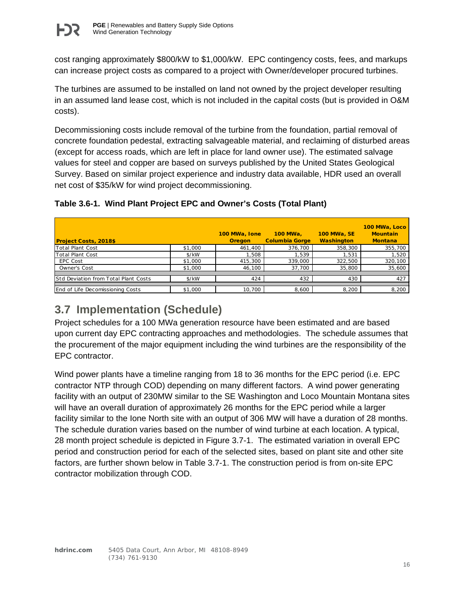

cost ranging approximately \$800/kW to \$1,000/kW. EPC contingency costs, fees, and markups can increase project costs as compared to a project with Owner/developer procured turbines.

The turbines are assumed to be installed on land not owned by the project developer resulting in an assumed land lease cost, which is not included in the capital costs (but is provided in O&M costs).

Decommissioning costs include removal of the turbine from the foundation, partial removal of concrete foundation pedestal, extracting salvageable material, and reclaiming of disturbed areas (except for access roads, which are left in place for land owner use). The estimated salvage values for steel and copper are based on surveys published by the United States Geological Survey. Based on similar project experience and industry data available, HDR used an overall net cost of \$35/kW for wind project decommissioning.

| <b>Project Costs, 2018\$</b>                |         | 100 MWa, Ione<br><b>Oregon</b> | 100 MWa,<br><b>Columbia Gorge</b> | <b>100 MWa, SE</b><br><b>Washington</b> | 100 MWa, Loco<br><b>Mountain</b><br><b>Montana</b> |
|---------------------------------------------|---------|--------------------------------|-----------------------------------|-----------------------------------------|----------------------------------------------------|
| Total Plant Cost                            | \$1,000 | 461,400                        | 376,700                           | 358,300                                 | 355,700                                            |
| Total Plant Cost                            | $$$ /kW | .508                           | 1.539                             | 1.531                                   | 1,520                                              |
| EPC Cost                                    | \$1,000 | 415,300                        | 339.000                           | 322.500                                 | 320,100                                            |
| Owner's Cost                                | \$1,000 | 46,100                         | 37,700                            | 35,800                                  | 35,600                                             |
|                                             |         |                                |                                   |                                         |                                                    |
| <b>Std Deviation from Total Plant Costs</b> | s/kW    | 424                            | 432                               | 430                                     | 427                                                |
|                                             |         |                                |                                   |                                         |                                                    |
| End of Life Decomissioning Costs            | \$1,000 | 10.700                         | 8,600                             | 8,200                                   | 8,200                                              |

## **Table 3.6-1. Wind Plant Project EPC and Owner's Costs (Total Plant)**

# <span id="page-16-0"></span>**3.7 Implementation (Schedule)**

Project schedules for a 100 MWa generation resource have been estimated and are based upon current day EPC contracting approaches and methodologies. The schedule assumes that the procurement of the major equipment including the wind turbines are the responsibility of the EPC contractor.

Wind power plants have a timeline ranging from 18 to 36 months for the EPC period (i.e. EPC contractor NTP through COD) depending on many different factors. A wind power generating facility with an output of 230MW similar to the SE Washington and Loco Mountain Montana sites will have an overall duration of approximately 26 months for the EPC period while a larger facility similar to the Ione North site with an output of 306 MW will have a duration of 28 months. The schedule duration varies based on the number of wind turbine at each location. A typical, 28 month project schedule is depicted in Figure 3.7-1. The estimated variation in overall EPC period and construction period for each of the selected sites, based on plant site and other site factors, are further shown below in Table 3.7-1. The construction period is from on-site EPC contractor mobilization through COD.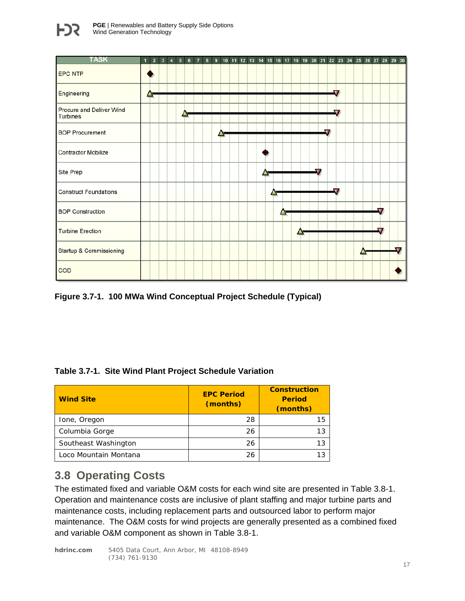



**Figure 3.7-1. 100 MWa Wind Conceptual Project Schedule (Typical)**

| Table 3.7-1. Site Wind Plant Project Schedule Variation |  |  |
|---------------------------------------------------------|--|--|
|                                                         |  |  |

| <b>Wind Site</b>      | <b>EPC Period</b><br>(months) | <b>Construction</b><br><b>Period</b><br>(months) |
|-----------------------|-------------------------------|--------------------------------------------------|
| Ione, Oregon          | 28                            | 15                                               |
| Columbia Gorge        | 26                            | צו                                               |
| Southeast Washington  | 26                            | 13                                               |
| Loco Mountain Montana | 26                            |                                                  |

## <span id="page-17-0"></span>**3.8 Operating Costs**

The estimated fixed and variable O&M costs for each wind site are presented in Table 3.8-1. Operation and maintenance costs are inclusive of plant staffing and major turbine parts and maintenance costs, including replacement parts and outsourced labor to perform major maintenance. The O&M costs for wind projects are generally presented as a combined fixed and variable O&M component as shown in Table 3.8-1.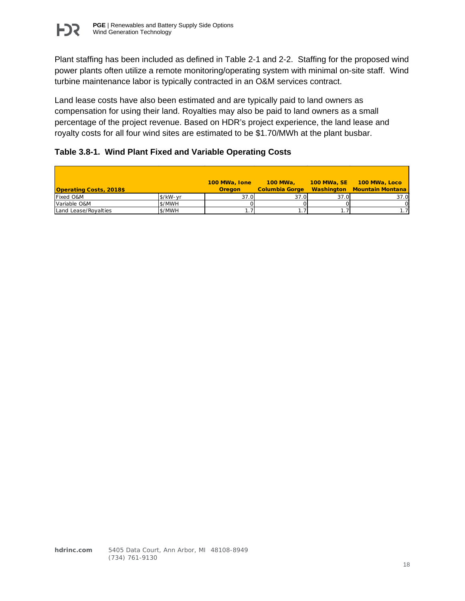

Plant staffing has been included as defined in Table 2-1 and 2-2. Staffing for the proposed wind power plants often utilize a remote monitoring/operating system with minimal on-site staff. Wind turbine maintenance labor is typically contracted in an O&M services contract.

Land lease costs have also been estimated and are typically paid to land owners as compensation for using their land. Royalties may also be paid to land owners as a small percentage of the project revenue. Based on HDR's project experience, the land lease and royalty costs for all four wind sites are estimated to be \$1.70/MWh at the plant busbar.

#### **Table 3.8-1. Wind Plant Fixed and Variable Operating Costs**

|                                |               | 100 MWa, Ione | 100 MWa.       |      | 100 MWa, SE 100 MWa, Loco   |
|--------------------------------|---------------|---------------|----------------|------|-----------------------------|
| <b>Operating Costs, 2018\$</b> |               | <b>Oregon</b> | Columbia Gorge |      | Washington Mountain Montana |
| <b>Fixed O&amp;M</b>           | $$$ /kW- $vr$ | 37.0          | 37.0           | 37.0 | 37.0                        |
| Variable O&M                   | \$/MWH        |               |                |      |                             |
| Land Lease/Royalties           | \$/MWH        |               |                |      |                             |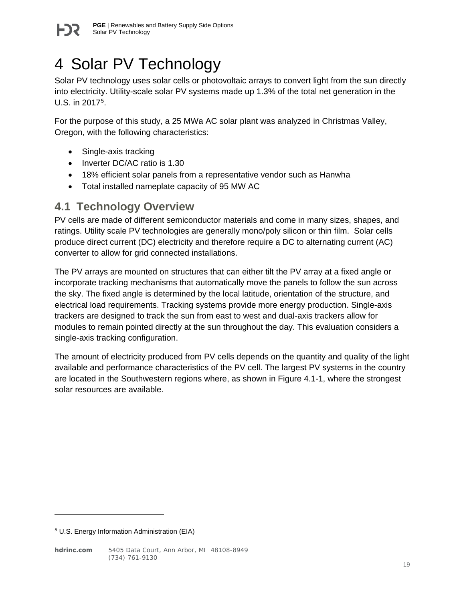

# <span id="page-19-0"></span>4 Solar PV Technology

Solar PV technology uses solar cells or photovoltaic arrays to convert light from the sun directly into electricity. Utility-scale solar PV systems made up 1.3% of the total net generation in the U.S. in 2017[5.](#page-19-2)

For the purpose of this study, a 25 MWa AC solar plant was analyzed in Christmas Valley, Oregon, with the following characteristics:

- Single-axis tracking
- Inverter DC/AC ratio is 1.30
- 18% efficient solar panels from a representative vendor such as Hanwha
- Total installed nameplate capacity of 95 MW AC

## <span id="page-19-1"></span>**4.1 Technology Overview**

PV cells are made of different semiconductor materials and come in many sizes, shapes, and ratings. Utility scale PV technologies are generally mono/poly silicon or thin film. Solar cells produce direct current (DC) electricity and therefore require a DC to alternating current (AC) converter to allow for grid connected installations.

The PV arrays are mounted on structures that can either tilt the PV array at a fixed angle or incorporate tracking mechanisms that automatically move the panels to follow the sun across the sky. The fixed angle is determined by the local latitude, orientation of the structure, and electrical load requirements. Tracking systems provide more energy production. Single-axis trackers are designed to track the sun from east to west and dual-axis trackers allow for modules to remain pointed directly at the sun throughout the day. This evaluation considers a single-axis tracking configuration.

The amount of electricity produced from PV cells depends on the quantity and quality of the light available and performance characteristics of the PV cell. The largest PV systems in the country are located in the Southwestern regions where, as shown in Figure 4.1-1, where the strongest solar resources are available.

 $\overline{a}$ 

<span id="page-19-2"></span><sup>5</sup> U.S. Energy Information Administration (EIA)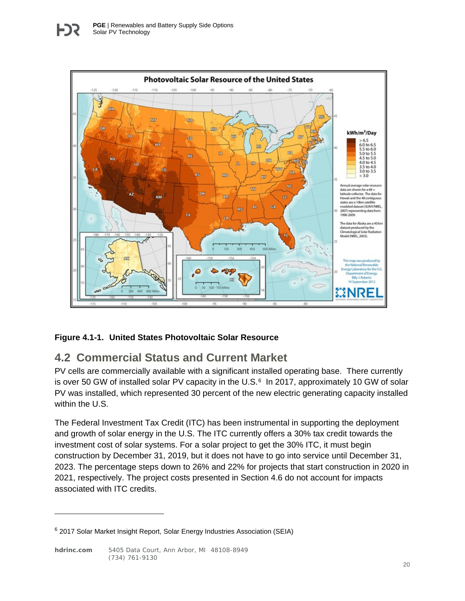

#### **Figure 4.1-1. United States Photovoltaic Solar Resource**

## <span id="page-20-0"></span>**4.2 Commercial Status and Current Market**

PV cells are commercially available with a significant installed operating base. There currently is over 50 GW of installed solar PV capacity in the U.S.<sup>[6](#page-20-1)</sup> In 2017, approximately 10 GW of solar PV was installed, which represented 30 percent of the new electric generating capacity installed within the U.S.

The Federal Investment Tax Credit (ITC) has been instrumental in supporting the deployment and growth of solar energy in the U.S. The ITC currently offers a 30% tax credit towards the investment cost of solar systems. For a solar project to get the 30% ITC, it must begin construction by December 31, 2019, but it does not have to go into service until December 31, 2023. The percentage steps down to 26% and 22% for projects that start construction in 2020 in 2021, respectively. The project costs presented in Section 4.6 do not account for impacts associated with ITC credits.

 $\overline{a}$ 

<span id="page-20-1"></span><sup>6</sup> 2017 Solar Market Insight Report, Solar Energy Industries Association (SEIA)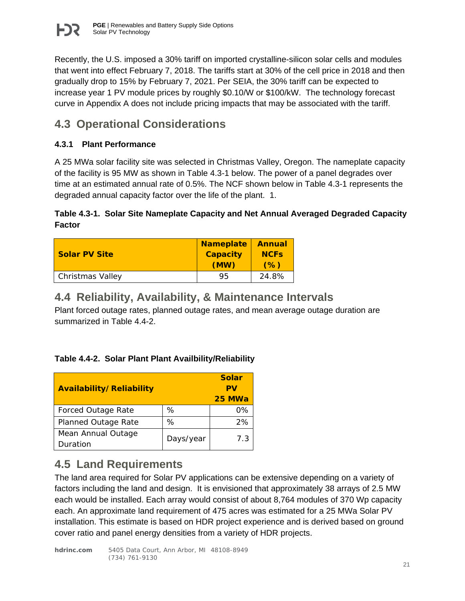

Recently, the U.S. imposed a 30% tariff on imported crystalline-silicon solar cells and modules that went into effect February 7, 2018. The tariffs start at 30% of the cell price in 2018 and then gradually drop to 15% by February 7, 2021. Per SEIA, the 30% tariff can be expected to increase year 1 PV module prices by roughly \$0.10/W or \$100/kW. The technology forecast curve in Appendix A does not include pricing impacts that may be associated with the tariff.

## <span id="page-21-0"></span>**4.3 Operational Considerations**

### <span id="page-21-1"></span>**4.3.1 Plant Performance**

A 25 MWa solar facility site was selected in Christmas Valley, Oregon. The nameplate capacity of the facility is 95 MW as shown in Table 4.3-1 below. The power of a panel degrades over time at an estimated annual rate of 0.5%. The NCF shown below in Table 4.3-1 represents the degraded annual capacity factor over the life of the plant. 1.

### **Table 4.3-1. Solar Site Nameplate Capacity and Net Annual Averaged Degraded Capacity Factor**

| <b>Solar PV Site</b> | <b>Nameplate</b><br><b>Capacity</b><br>(MW) | <b>Annual</b><br><b>NCFs</b><br>(% ) |
|----------------------|---------------------------------------------|--------------------------------------|
| Christmas Valley     | 95                                          | 24.8%                                |

## <span id="page-21-2"></span>**4.4 Reliability, Availability, & Maintenance Intervals**

Plant forced outage rates, planned outage rates, and mean average outage duration are summarized in Table 4.4-2.

#### **Table 4.4-2. Solar Plant Plant Availbility/Reliability**

| Availability/Reliability   |           | <b>Solar</b><br>PV<br>25 MWa |
|----------------------------|-----------|------------------------------|
| <b>Forced Outage Rate</b>  | ℅         | 0%                           |
| <b>Planned Outage Rate</b> | ℅         | 2%                           |
| Mean Annual Outage         | Days/year | 7.3                          |
| Duration                   |           |                              |

## <span id="page-21-3"></span>**4.5 Land Requirements**

The land area required for Solar PV applications can be extensive depending on a variety of factors including the land and design. It is envisioned that approximately 38 arrays of 2.5 MW each would be installed. Each array would consist of about 8,764 modules of 370 Wp capacity each. An approximate land requirement of 475 acres was estimated for a 25 MWa Solar PV installation. This estimate is based on HDR project experience and is derived based on ground cover ratio and panel energy densities from a variety of HDR projects.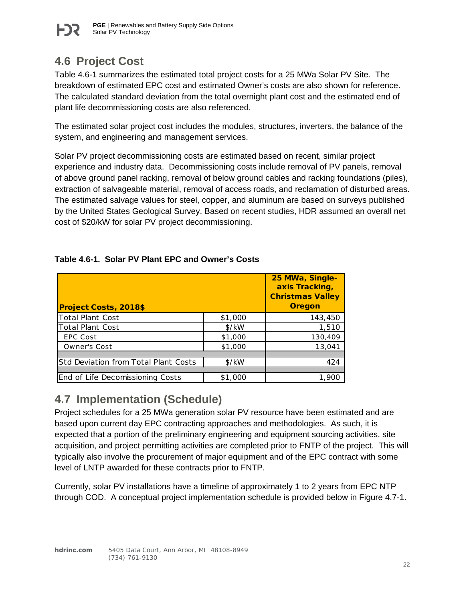# <span id="page-22-0"></span>**4.6 Project Cost**

Table 4.6-1 summarizes the estimated total project costs for a 25 MWa Solar PV Site. The breakdown of estimated EPC cost and estimated Owner's costs are also shown for reference. The calculated standard deviation from the total overnight plant cost and the estimated end of plant life decommissioning costs are also referenced.

The estimated solar project cost includes the modules, structures, inverters, the balance of the system, and engineering and management services.

Solar PV project decommissioning costs are estimated based on recent, similar project experience and industry data. Decommissioning costs include removal of PV panels, removal of above ground panel racking, removal of below ground cables and racking foundations (piles), extraction of salvageable material, removal of access roads, and reclamation of disturbed areas. The estimated salvage values for steel, copper, and aluminum are based on surveys published by the United States Geological Survey. Based on recent studies, HDR assumed an overall net cost of \$20/kW for solar PV project decommissioning.

| <b>Project Costs, 2018\$</b>         |                   | 25 MWa, Single-<br>axis Tracking,<br><b>Christmas Valley</b><br><b>Oregon</b> |
|--------------------------------------|-------------------|-------------------------------------------------------------------------------|
| Total Plant Cost                     | \$1,000           | 143,450                                                                       |
| Total Plant Cost                     | \$/kW             | 1,510                                                                         |
| EPC Cost                             | \$1,000           | 130,409                                                                       |
| Owner's Cost                         | \$1,000           | 13,041                                                                        |
|                                      |                   |                                                                               |
| Std Deviation from Total Plant Costs | $\frac{1}{2}$ /kW | 424                                                                           |
|                                      |                   |                                                                               |
| End of Life Decomissioning Costs     | \$1,000           | 1.900                                                                         |

## **Table 4.6-1. Solar PV Plant EPC and Owner's Costs**

## <span id="page-22-1"></span>**4.7 Implementation (Schedule)**

Project schedules for a 25 MWa generation solar PV resource have been estimated and are based upon current day EPC contracting approaches and methodologies. As such, it is expected that a portion of the preliminary engineering and equipment sourcing activities, site acquisition, and project permitting activities are completed prior to FNTP of the project. This will typically also involve the procurement of major equipment and of the EPC contract with some level of LNTP awarded for these contracts prior to FNTP.

Currently, solar PV installations have a timeline of approximately 1 to 2 years from EPC NTP through COD. A conceptual project implementation schedule is provided below in Figure 4.7-1.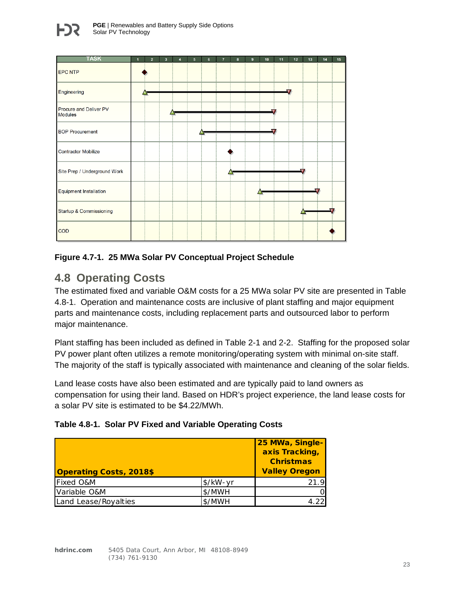

#### **Figure 4.7-1. 25 MWa Solar PV Conceptual Project Schedule**

## <span id="page-23-0"></span>**4.8 Operating Costs**

The estimated fixed and variable O&M costs for a 25 MWa solar PV site are presented in Table 4.8-1. Operation and maintenance costs are inclusive of plant staffing and major equipment parts and maintenance costs, including replacement parts and outsourced labor to perform major maintenance.

Plant staffing has been included as defined in Table 2-1 and 2-2. Staffing for the proposed solar PV power plant often utilizes a remote monitoring/operating system with minimal on-site staff. The majority of the staff is typically associated with maintenance and cleaning of the solar fields.

Land lease costs have also been estimated and are typically paid to land owners as compensation for using their land. Based on HDR's project experience, the land lease costs for a solar PV site is estimated to be \$4.22/MWh.

| Table 4.8-1. Solar PV Fixed and Variable Operating Costs |  |  |  |  |  |
|----------------------------------------------------------|--|--|--|--|--|
|----------------------------------------------------------|--|--|--|--|--|

| <b>Operating Costs, 2018\$</b> |                      | 25 MWa, Single-<br>axis Tracking,<br><b>Christmas</b><br><b>Valley Oregon</b> |
|--------------------------------|----------------------|-------------------------------------------------------------------------------|
| <b>Fixed O&amp;M</b>           | $\frac{1}{2}$ /kW-yr | 21.9                                                                          |
| Variable O&M                   | \$/MWH               | റ                                                                             |
| Land Lease/Royalties           | \$/MWH               | 22                                                                            |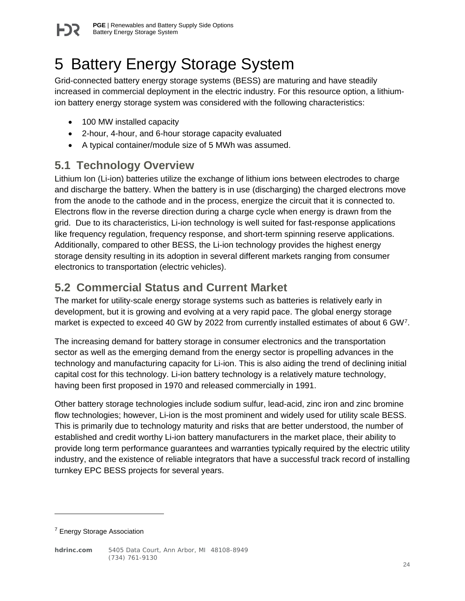

# <span id="page-24-0"></span>5 Battery Energy Storage System

Grid-connected battery energy storage systems (BESS) are maturing and have steadily increased in commercial deployment in the electric industry. For this resource option, a lithiumion battery energy storage system was considered with the following characteristics:

- 100 MW installed capacity
- 2-hour, 4-hour, and 6-hour storage capacity evaluated
- A typical container/module size of 5 MWh was assumed.

## <span id="page-24-1"></span>**5.1 Technology Overview**

Lithium Ion (Li-ion) batteries utilize the exchange of lithium ions between electrodes to charge and discharge the battery. When the battery is in use (discharging) the charged electrons move from the anode to the cathode and in the process, energize the circuit that it is connected to. Electrons flow in the reverse direction during a charge cycle when energy is drawn from the grid. Due to its characteristics, Li-ion technology is well suited for fast-response applications like frequency regulation, frequency response, and short-term spinning reserve applications. Additionally, compared to other BESS, the Li-ion technology provides the highest energy storage density resulting in its adoption in several different markets ranging from consumer electronics to transportation (electric vehicles).

## <span id="page-24-2"></span>**5.2 Commercial Status and Current Market**

The market for utility-scale energy storage systems such as batteries is relatively early in development, but it is growing and evolving at a very rapid pace. The global energy storage market is expected to exceed 40 GW by 2022 from currently installed estimates of about 6 GW<sup>7</sup>.

The increasing demand for battery storage in consumer electronics and the transportation sector as well as the emerging demand from the energy sector is propelling advances in the technology and manufacturing capacity for Li-ion. This is also aiding the trend of declining initial capital cost for this technology. Li-ion battery technology is a relatively mature technology, having been first proposed in 1970 and released commercially in 1991.

Other battery storage technologies include sodium sulfur, lead-acid, zinc iron and zinc bromine flow technologies; however, Li-ion is the most prominent and widely used for utility scale BESS. This is primarily due to technology maturity and risks that are better understood, the number of established and credit worthy Li-ion battery manufacturers in the market place, their ability to provide long term performance guarantees and warranties typically required by the electric utility industry, and the existence of reliable integrators that have a successful track record of installing turnkey EPC BESS projects for several years.

 $\overline{a}$ 

**hdrinc.com** 5405 Data Court, Ann Arbor, MI 48108-8949 (734) 761-9130

<span id="page-24-3"></span><sup>&</sup>lt;sup>7</sup> Energy Storage Association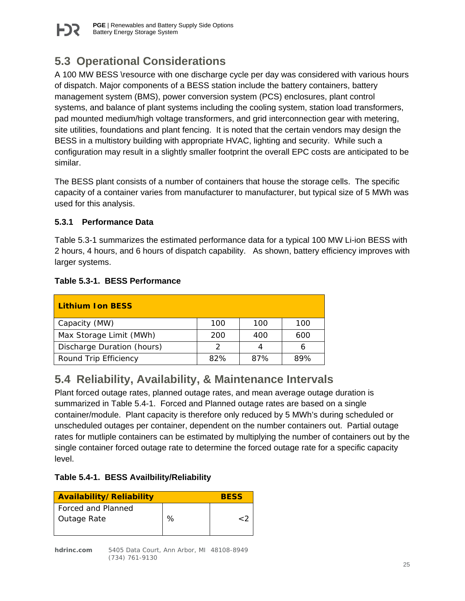

# <span id="page-25-0"></span>**5.3 Operational Considerations**

A 100 MW BESS \resource with one discharge cycle per day was considered with various hours of dispatch. Major components of a BESS station include the battery containers, battery management system (BMS), power conversion system (PCS) enclosures, plant control systems, and balance of plant systems including the cooling system, station load transformers, pad mounted medium/high voltage transformers, and grid interconnection gear with metering, site utilities, foundations and plant fencing. It is noted that the certain vendors may design the BESS in a multistory building with appropriate HVAC, lighting and security. While such a configuration may result in a slightly smaller footprint the overall EPC costs are anticipated to be similar.

The BESS plant consists of a number of containers that house the storage cells. The specific capacity of a container varies from manufacturer to manufacturer, but typical size of 5 MWh was used for this analysis.

## <span id="page-25-1"></span>**5.3.1 Performance Data**

Table 5.3-1 summarizes the estimated performance data for a typical 100 MW Li-ion BESS with 2 hours, 4 hours, and 6 hours of dispatch capability. As shown, battery efficiency improves with larger systems.

| <b>Lithium Ion BESS</b>    |     |     |     |
|----------------------------|-----|-----|-----|
| Capacity (MW)              | 100 | 100 | 100 |
| Max Storage Limit (MWh)    | 200 | 400 | 600 |
| Discharge Duration (hours) |     |     |     |
| Round Trip Efficiency      | 82% | 87% | ጸዓ% |

## **Table 5.3-1. BESS Performance**

# <span id="page-25-2"></span>**5.4 Reliability, Availability, & Maintenance Intervals**

Plant forced outage rates, planned outage rates, and mean average outage duration is summarized in Table 5.4-1. Forced and Planned outage rates are based on a single container/module. Plant capacity is therefore only reduced by 5 MWh's during scheduled or unscheduled outages per container, dependent on the number containers out. Partial outage rates for mutliple containers can be estimated by multiplying the number of containers out by the single container forced outage rate to determine the forced outage rate for a specific capacity level.

## **Table 5.4-1. BESS Availbility/Reliability**

| Availability/Reliability                 |   | <b>BESS</b> |
|------------------------------------------|---|-------------|
| <b>Forced and Planned</b><br>Outage Rate | ℅ | ر ۔         |
|                                          |   |             |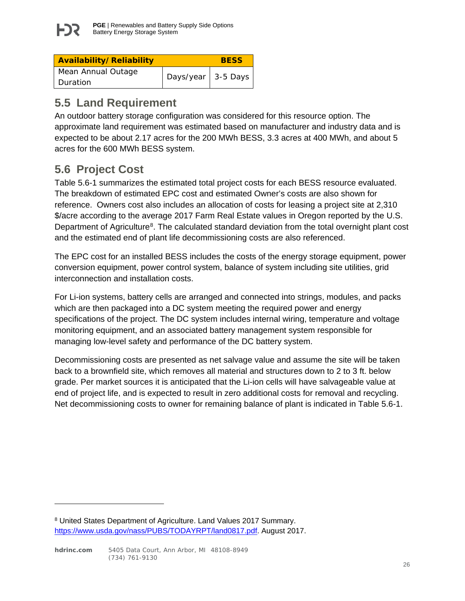

| Availability/Reliability |                    | <b>BESS</b> |
|--------------------------|--------------------|-------------|
| Mean Annual Outage       |                    |             |
| l Duration               | Days/year 3-5 Days |             |

# <span id="page-26-0"></span>**5.5 Land Requirement**

An outdoor battery storage configuration was considered for this resource option. The approximate land requirement was estimated based on manufacturer and industry data and is expected to be about 2.17 acres for the 200 MWh BESS, 3.3 acres at 400 MWh, and about 5 acres for the 600 MWh BESS system.

# <span id="page-26-1"></span>**5.6 Project Cost**

Table 5.6-1 summarizes the estimated total project costs for each BESS resource evaluated. The breakdown of estimated EPC cost and estimated Owner's costs are also shown for reference. Owners cost also includes an allocation of costs for leasing a project site at 2,310 \$/acre according to the average 2017 Farm Real Estate values in Oregon reported by the U.S. Department of Agriculture<sup>8</sup>. The calculated standard deviation from the total overnight plant cost and the estimated end of plant life decommissioning costs are also referenced.

The EPC cost for an installed BESS includes the costs of the energy storage equipment, power conversion equipment, power control system, balance of system including site utilities, grid interconnection and installation costs.

For Li-ion systems, battery cells are arranged and connected into strings, modules, and packs which are then packaged into a DC system meeting the required power and energy specifications of the project. The DC system includes internal wiring, temperature and voltage monitoring equipment, and an associated battery management system responsible for managing low-level safety and performance of the DC battery system.

Decommissioning costs are presented as net salvage value and assume the site will be taken back to a brownfield site, which removes all material and structures down to 2 to 3 ft. below grade. Per market sources it is anticipated that the Li-ion cells will have salvageable value at end of project life, and is expected to result in zero additional costs for removal and recycling. Net decommissioning costs to owner for remaining balance of plant is indicated in Table 5.6-1.

 $\ddot{\phantom{a}}$ 

<span id="page-26-2"></span><sup>8</sup> United States Department of Agriculture. Land Values 2017 Summary. [https://www.usda.gov/nass/PUBS/TODAYRPT/land0817.pdf.](#) August 2017.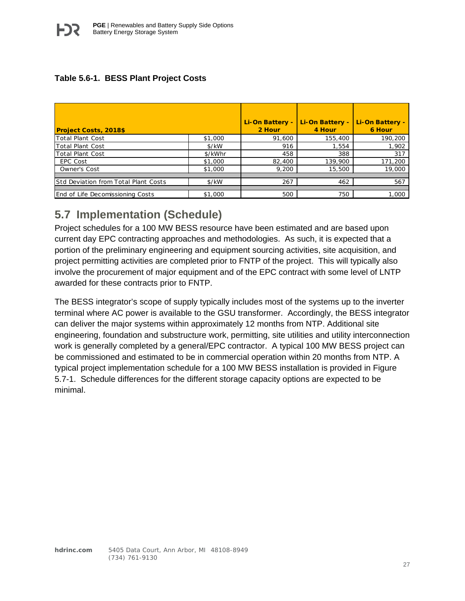### **Table 5.6-1. BESS Plant Project Costs**

| <b>Project Costs, 2018\$</b>         |         | Li-On Battery -<br>2 Hour | Li-On Battery -<br>4 Hour | Li-On Battery -<br>6 Hour |
|--------------------------------------|---------|---------------------------|---------------------------|---------------------------|
| Total Plant Cost                     | \$1,000 | 91,600                    | 155,400                   | 190,200                   |
| <b>Total Plant Cost</b>              | \$/kW   | 916                       | 1,554                     | 1,902                     |
| <b>Total Plant Cost</b>              | \$/kWhr | 458                       | 388                       | 317                       |
| <b>EPC Cost</b>                      | \$1,000 | 82,400                    | 139,900                   | 171,200                   |
| <b>Owner's Cost</b>                  | \$1,000 | 9,200                     | 15,500                    | 19,000                    |
|                                      |         |                           |                           |                           |
| Std Deviation from Total Plant Costs | \$/kW   | 267                       | 462                       | 567                       |
|                                      |         |                           |                           |                           |
| End of Life Decomissioning Costs     | \$1,000 | 500                       | 750                       | 1,000                     |

## <span id="page-27-0"></span>**5.7 Implementation (Schedule)**

Project schedules for a 100 MW BESS resource have been estimated and are based upon current day EPC contracting approaches and methodologies. As such, it is expected that a portion of the preliminary engineering and equipment sourcing activities, site acquisition, and project permitting activities are completed prior to FNTP of the project. This will typically also involve the procurement of major equipment and of the EPC contract with some level of LNTP awarded for these contracts prior to FNTP.

The BESS integrator's scope of supply typically includes most of the systems up to the inverter terminal where AC power is available to the GSU transformer. Accordingly, the BESS integrator can deliver the major systems within approximately 12 months from NTP. Additional site engineering, foundation and substructure work, permitting, site utilities and utility interconnection work is generally completed by a general/EPC contractor. A typical 100 MW BESS project can be commissioned and estimated to be in commercial operation within 20 months from NTP. A typical project implementation schedule for a 100 MW BESS installation is provided in Figure 5.7-1. Schedule differences for the different storage capacity options are expected to be minimal.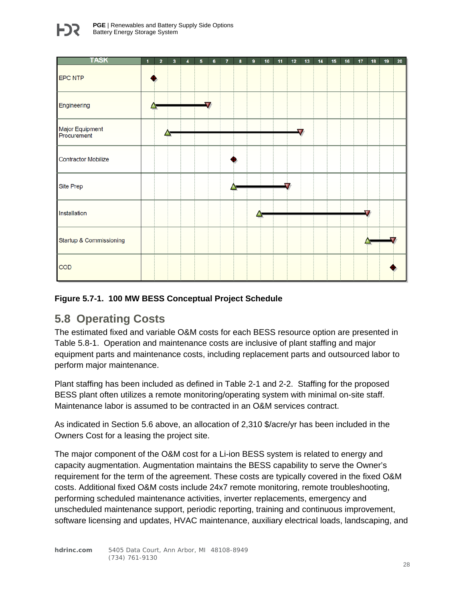

#### **Figure 5.7-1. 100 MW BESS Conceptual Project Schedule**

## <span id="page-28-0"></span>**5.8 Operating Costs**

The estimated fixed and variable O&M costs for each BESS resource option are presented in Table 5.8-1. Operation and maintenance costs are inclusive of plant staffing and major equipment parts and maintenance costs, including replacement parts and outsourced labor to perform major maintenance.

Plant staffing has been included as defined in Table 2-1 and 2-2. Staffing for the proposed BESS plant often utilizes a remote monitoring/operating system with minimal on-site staff. Maintenance labor is assumed to be contracted in an O&M services contract.

As indicated in Section 5.6 above, an allocation of 2,310 \$/acre/yr has been included in the Owners Cost for a leasing the project site.

The major component of the O&M cost for a Li-ion BESS system is related to energy and capacity augmentation. Augmentation maintains the BESS capability to serve the Owner's requirement for the term of the agreement. These costs are typically covered in the fixed O&M costs. Additional fixed O&M costs include 24x7 remote monitoring, remote troubleshooting, performing scheduled maintenance activities, inverter replacements, emergency and unscheduled maintenance support, periodic reporting, training and continuous improvement, software licensing and updates, HVAC maintenance, auxiliary electrical loads, landscaping, and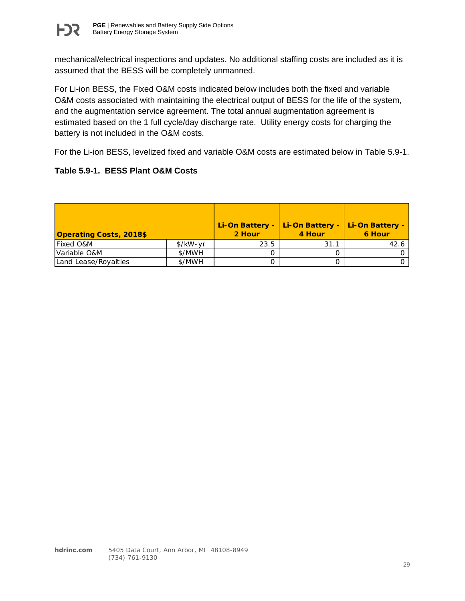

mechanical/electrical inspections and updates. No additional staffing costs are included as it is assumed that the BESS will be completely unmanned.

For Li-ion BESS, the Fixed O&M costs indicated below includes both the fixed and variable O&M costs associated with maintaining the electrical output of BESS for the life of the system, and the augmentation service agreement. The total annual augmentation agreement is estimated based on the 1 full cycle/day discharge rate. Utility energy costs for charging the battery is not included in the O&M costs.

For the Li-ion BESS, levelized fixed and variable O&M costs are estimated below in Table 5.9-1.

#### **Table 5.9-1. BESS Plant O&M Costs**

| <b>Operating Costs, 2018\$</b> |          | Li-On Battery -<br>2 Hour | Li-On Battery -<br>4 Hour | Li-On Battery -<br>6 Hour |
|--------------------------------|----------|---------------------------|---------------------------|---------------------------|
| <b>Fixed O&amp;M</b>           | \$/kW-yr | 23.5                      | 31.1                      | 42.6                      |
| Variable O&M                   | \$/MWH   |                           |                           |                           |
| Land Lease/Royalties           | \$/MWH   |                           |                           |                           |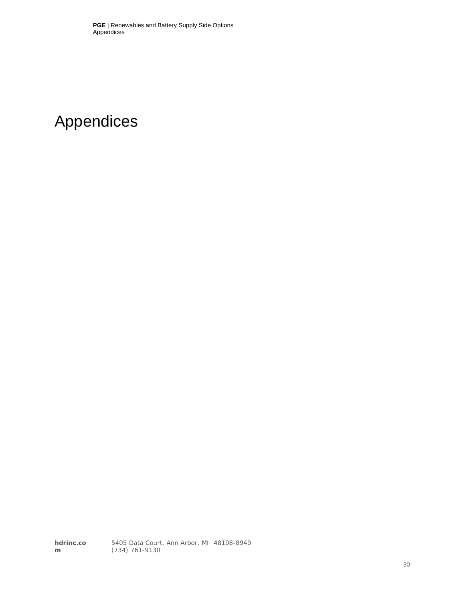# <span id="page-30-0"></span>Appendices

**hdrinc.co m** 5405 Data Court, Ann Arbor, MI 48108-8949 (734) 761-9130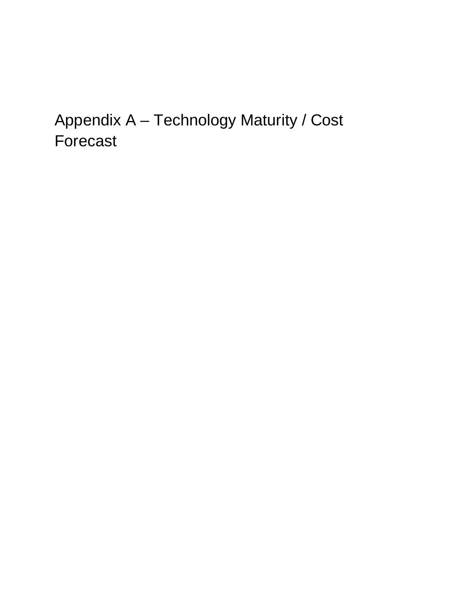# Appendix A – Technology Maturity / Cost Forecast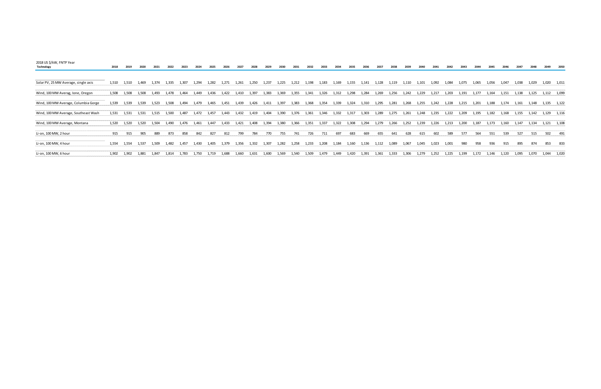| 2018 US \$/kW, FNTP Year<br>Technology | 2018  | 2019  | 2020  | 2021  | 2022  | 2023  | 2024  | 2025  | 2026  | 2027  | 2028  |       |       |       |       |       |        |        |       |       |       |       |       | 2041  | 2042  | 2043  | 2044  | 2045   | 2046  | 2047  | 2048  | 2049  | 2050        |
|----------------------------------------|-------|-------|-------|-------|-------|-------|-------|-------|-------|-------|-------|-------|-------|-------|-------|-------|--------|--------|-------|-------|-------|-------|-------|-------|-------|-------|-------|--------|-------|-------|-------|-------|-------------|
|                                        |       |       |       |       |       |       |       |       |       |       |       |       |       |       |       |       |        |        |       |       |       |       |       |       |       |       |       |        |       |       |       |       |             |
| Solar PV, 25 MW Average, single axis   | 1,510 | 1,510 | 1,469 | 1,374 | 1,335 | 1,307 | 1,294 | 1,282 | 1,271 | .,261 | 1,250 | 1,237 | 1,225 | 1,212 | 1,198 | 1,183 | 1,169  | ., 155 | 1,141 | ,128  | 1,119 | 1,110 | 1,101 | 1,092 | 1,084 | 075   |       | 1,056  | 1,047 | 1,038 | 1,029 | 1,020 | 1,011       |
| Wind, 100 MW Averag, Ione, Oregon      | 1,508 | 1,508 | 1,508 | 1,493 | 1,478 | 1,464 | 1,449 | 1,436 | L,422 | 1,410 | 1,397 | 1,383 | 1,369 | 1,355 | 1,341 | 1,326 | 1,312  | 1,298  | 1,284 | 1,269 | 1,256 | 1,242 | 1,229 | 1,217 | 1,203 | 1,191 | 1,177 | 1,164  | 1,151 | 1,138 | 1,125 |       | 1,112 1,099 |
| Wind, 100 MW Average, Columbia Gorge   | 1,539 | 1,539 | 1,539 | 1,523 | 1,508 | 1.494 | 1.479 | 1,465 | 1,451 | 1,439 | 1,426 | 1,411 | 1,397 | 1,383 | 1,368 | 1,354 | 1,339  | 1,324  | 1,310 | 1,295 | 1,281 | 1,268 | 1,255 | 1,242 | 1,228 | 1,215 | 1,201 | 1,188  | 1,174 | 1,161 | 1,148 |       | 1,135 1,122 |
| Wind, 100 MW Average, Southeast Wash   | 1,531 | 1,531 | 1.531 | 1,515 | 1,500 | 1.487 | 1.472 | 1,457 | 1,443 | 1,432 | 1,419 | 1,404 | 1,390 | 1,376 | 1,361 | 1,346 | 1,332  | l,317  | 1,303 | 1,289 | 1,275 | 1,261 | 1.248 | 1,235 | 1,222 | 1,209 | 1.195 | l, 182 | .,168 |       |       | 1.129 | 1,116       |
| Wind, 100 MW Average, Montana          | 1,520 | 1,520 | 1,520 | 1,504 | 1,490 | 1.476 | 1,461 | 1,447 | 1,433 | 1,421 | 1,408 | 1,394 | 1,380 | 1,366 | 1,351 | 1,337 | 1,322  | 1,308  | 1,294 | 1,279 | 1,266 | 1,252 | 1,239 | 1,226 | 1,213 | 1,200 | 1,187 | 1,173  | 1,160 | 147ء  |       |       | 1,121 1,108 |
| Li-on, 100 MW, 2 hour                  | 915   | 915   | 905   | 889   | 873   |       | 842   | 827   | 812   | 799   | 784   | 770   | 755   | 741   | 726   | 711   | 697    | 683    | 669   | 655   | 641   | 628   |       | 602   | 589   | 577   | 564   | 551    | 539   | 527   | 515   | 502   | 491         |
| Li-on, 100 MW, 4 hour                  | 1,554 | 1,554 | 1,537 | 1,509 | 1,482 | 1.457 | L,430 | l,405 | .379  | L,356 | L,332 | l,307 | .282  | .258  | 1,233 | ,208  | L, 184 | 160    | L,136 | ,112  | 1,089 | 1,067 | 1.045 | 1,023 | 1,001 | 980   | 958   | 936    | 915   | 895   | 874   | 853   | 833         |
| Li-on, 100 MW, 6 hour                  | 1,902 | 1.902 | 1,881 | 1.847 | 1,814 | 1,783 | 1,750 | 1,719 | L,688 | L,660 | 1,631 | 1,600 | 1,569 | 1,540 | 1,509 | 1,479 | l,449  | ,420   | 1,391 | 1,361 | 1,333 | 1,306 | 1.279 | 1,252 | 1.225 | 199   |       | l.146  | 1,120 | L,095 | 1.070 | 1.044 | 1,020       |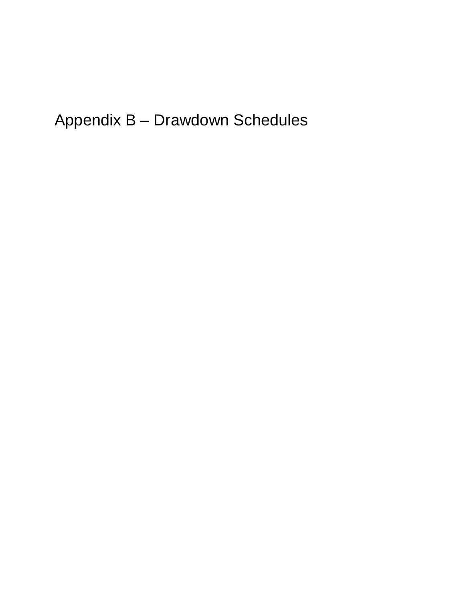Appendix B – Drawdown Schedules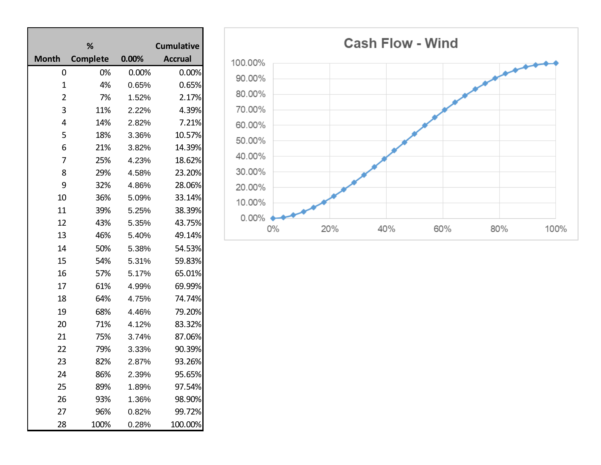|                | %               |       | <b>Cumulative</b> |  |  |  |  |  |
|----------------|-----------------|-------|-------------------|--|--|--|--|--|
| <b>Month</b>   | <b>Complete</b> | 0.00% | <b>Accrual</b>    |  |  |  |  |  |
| 0              | 0%              | 0.00% | 0.00%             |  |  |  |  |  |
| $\mathbf 1$    | 4%              | 0.65% | 0.65%             |  |  |  |  |  |
| $\overline{2}$ | 7%              | 1.52% | 2.17%             |  |  |  |  |  |
| 3              | 11%             | 2.22% | 4.39%             |  |  |  |  |  |
| 4              | 14%             | 2.82% | 7.21%             |  |  |  |  |  |
| 5              | 18%             | 3.36% | 10.57%            |  |  |  |  |  |
| 6              | 21%             | 3.82% | 14.39%            |  |  |  |  |  |
| $\overline{7}$ | 25%             | 4.23% | 18.62%            |  |  |  |  |  |
| 8              | 29%             | 4.58% | 23.20%            |  |  |  |  |  |
| 9              | 32%             | 4.86% | 28.06%            |  |  |  |  |  |
| 10             | 36%             | 5.09% | 33.14%            |  |  |  |  |  |
| 11             | 39%             | 5.25% | 38.39%            |  |  |  |  |  |
| 12             | 43%             | 5.35% | 43.75%            |  |  |  |  |  |
| 13             | 46%             | 5.40% | 49.14%            |  |  |  |  |  |
| 14             | 50%             | 5.38% | 54.53%            |  |  |  |  |  |
| 15             | 54%             | 5.31% | 59.83%            |  |  |  |  |  |
| 16             | 57%             | 5.17% | 65.01%            |  |  |  |  |  |
| 17             | 61%             | 4.99% | 69.99%            |  |  |  |  |  |
| 18             | 64%             | 4.75% | 74.74%            |  |  |  |  |  |
| 19             | 68%             | 4.46% | 79.20%            |  |  |  |  |  |
| 20             | 71%             | 4.12% | 83.32%            |  |  |  |  |  |
| 21             | 75%             | 3.74% | 87.06%            |  |  |  |  |  |
| 22             | 79%             | 3.33% | 90.39%            |  |  |  |  |  |
| 23             | 82%             | 2.87% | 93.26%            |  |  |  |  |  |
| 24             | 86%             | 2.39% | 95.65%            |  |  |  |  |  |
| 25             | 89%             | 1.89% | 97.54%            |  |  |  |  |  |
| 26             | 93%             | 1.36% | 98.90%            |  |  |  |  |  |
| 27             | 96%             | 0.82% | 99.72%            |  |  |  |  |  |
| 28             | 100%            | 0.28% | 100.00%           |  |  |  |  |  |

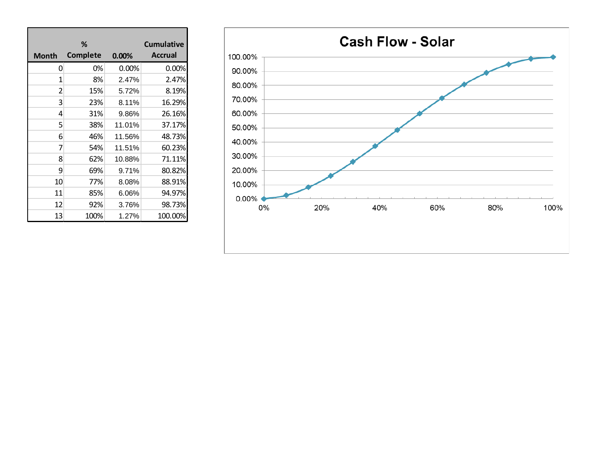|                         | ℅               |        | <b>Cumulative</b> |
|-------------------------|-----------------|--------|-------------------|
| Month                   | <b>Complete</b> | 0.00%  | <b>Accrual</b>    |
| 0                       | 0%              | 0.00%  | 0.00%             |
| 1                       | 8%              | 2.47%  | 2.47%             |
| $\overline{\mathbf{c}}$ | 15%             | 5.72%  | 8.19%             |
| 3                       | 23%             | 8.11%  | 16.29%            |
| 4                       | 31%             | 9.86%  | 26.16%            |
| 5                       | 38%             | 11.01% | 37.17%            |
| 6                       | 46%             | 11.56% | 48.73%            |
| 7                       | 54%             | 11.51% | 60.23%            |
| 8                       | 62%             | 10.88% | 71.11%            |
| 9                       | 69%             | 9.71%  | 80.82%            |
| 10                      | 77%             | 8.08%  | 88.91%            |
| 11                      | 85%             | 6.06%  | 94.97%            |
| 12                      | 92%             | 3.76%  | 98.73%            |
| 13                      | 100%            | 1.27%  | 100.00%           |

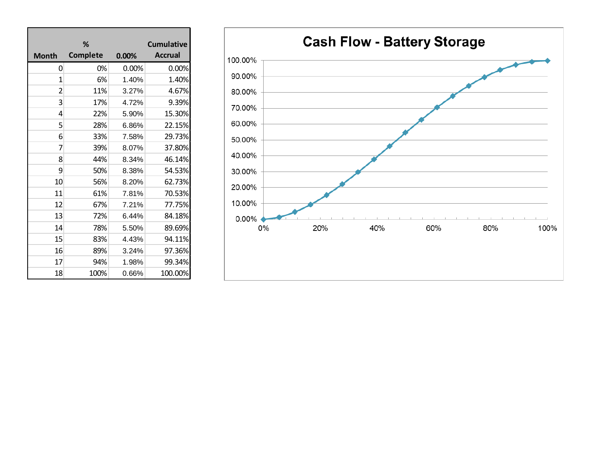|              | %               | <b>Cumulative</b> |                |  |  |  |  |
|--------------|-----------------|-------------------|----------------|--|--|--|--|
| <b>Month</b> | <b>Complete</b> | 0.00%             | <b>Accrual</b> |  |  |  |  |
| 0            | 0%              | 0.00%             | 0.00%          |  |  |  |  |
| 1            | 6%              | 1.40%             | 1.40%          |  |  |  |  |
| 2            | 11%             | 3.27%             | 4.67%          |  |  |  |  |
| 3            | 17%             | 4.72%             | 9.39%          |  |  |  |  |
| 4            | 22%             | 5.90%             | 15.30%         |  |  |  |  |
| 5            | 28%             | 6.86%             | 22.15%         |  |  |  |  |
| 6            | 33%             | 7.58%             | 29.73%         |  |  |  |  |
| 7            | 39%             | 8.07%             | 37.80%         |  |  |  |  |
| 8            | 44%             | 8.34%             | 46.14%         |  |  |  |  |
| 9            | 50%             | 8.38%             | 54.53%         |  |  |  |  |
| 10           | 56%             | 8.20%             | 62.73%         |  |  |  |  |
| 11           | 61%             | 7.81%             | 70.53%         |  |  |  |  |
| 12           | 67%             | 7.21%             | 77.75%         |  |  |  |  |
| 13           | 72%             | 6.44%             | 84.18%         |  |  |  |  |
| 14           | 78%             | 5.50%             | 89.69%         |  |  |  |  |
| 15           | 83%             | 4.43%             | 94.11%         |  |  |  |  |
| 16           | 89%             | 3.24%             | 97.36%         |  |  |  |  |
| 17           | 94%             | 1.98%             | 99.34%         |  |  |  |  |
| 18           | 100%            | 0.66%             | 100.00%        |  |  |  |  |

г